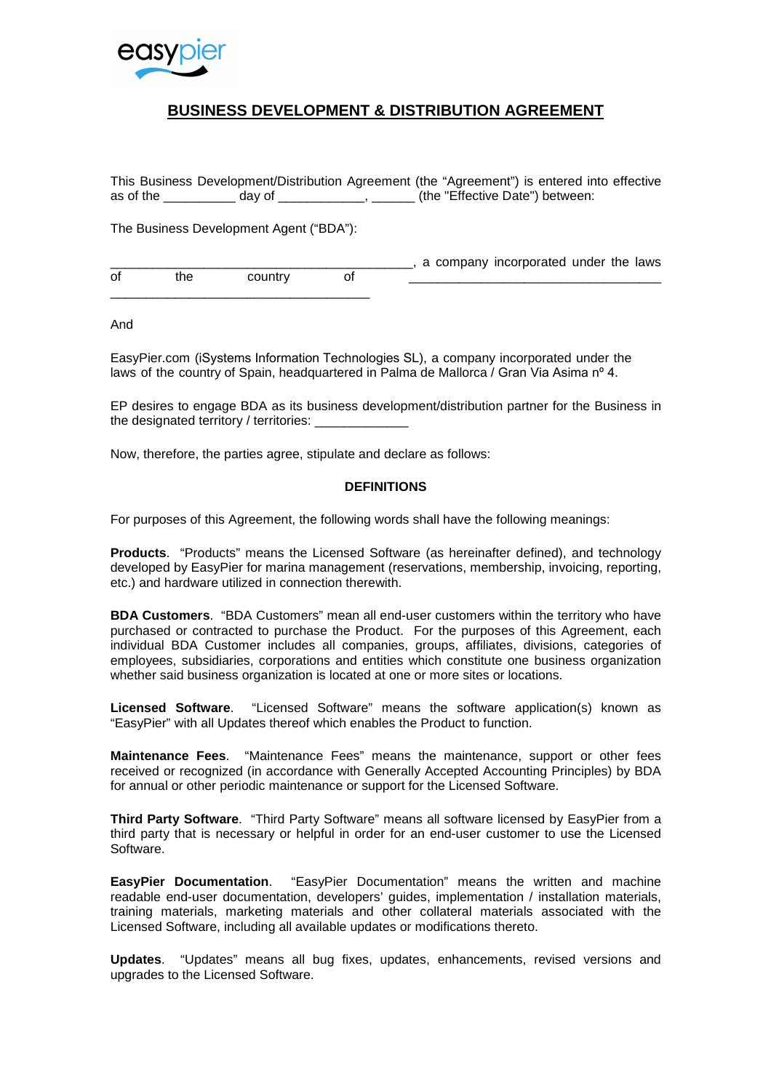

# **BUSINESS DEVELOPMENT & DISTRIBUTION AGREEMENT**

This Business Development/Distribution Agreement (the "Agreement") is entered into effective as of the day of  $\qquad \qquad$ ,  $\qquad \qquad$  (the "Effective Date") between:

The Business Development Agent ("BDA"):

|    |      |         | a company incorporated under the laws |
|----|------|---------|---------------------------------------|
| οf | the. | countrv |                                       |

And

EasyPier.com (iSystems Information Technologies SL), a company incorporated under the laws of the country of Spain, headquartered in Palma de Mallorca / Gran Via Asima nº 4.

EP desires to engage BDA as its business development/distribution partner for the Business in the designated territory / territories:

Now, therefore, the parties agree, stipulate and declare as follows:

#### **DEFINITIONS**

For purposes of this Agreement, the following words shall have the following meanings:

**Products**. "Products" means the Licensed Software (as hereinafter defined), and technology developed by EasyPier for marina management (reservations, membership, invoicing, reporting, etc.) and hardware utilized in connection therewith.

**BDA Customers**. "BDA Customers" mean all end-user customers within the territory who have purchased or contracted to purchase the Product. For the purposes of this Agreement, each individual BDA Customer includes all companies, groups, affiliates, divisions, categories of employees, subsidiaries, corporations and entities which constitute one business organization whether said business organization is located at one or more sites or locations.

**Licensed Software**. "Licensed Software" means the software application(s) known as "EasyPier" with all Updates thereof which enables the Product to function.

**Maintenance Fees**. "Maintenance Fees" means the maintenance, support or other fees received or recognized (in accordance with Generally Accepted Accounting Principles) by BDA for annual or other periodic maintenance or support for the Licensed Software.

**Third Party Software**. "Third Party Software" means all software licensed by EasyPier from a third party that is necessary or helpful in order for an end-user customer to use the Licensed Software.

**EasyPier Documentation**. "EasyPier Documentation" means the written and machine readable end-user documentation, developers' guides, implementation / installation materials, training materials, marketing materials and other collateral materials associated with the Licensed Software, including all available updates or modifications thereto.

**Updates**. "Updates" means all bug fixes, updates, enhancements, revised versions and upgrades to the Licensed Software.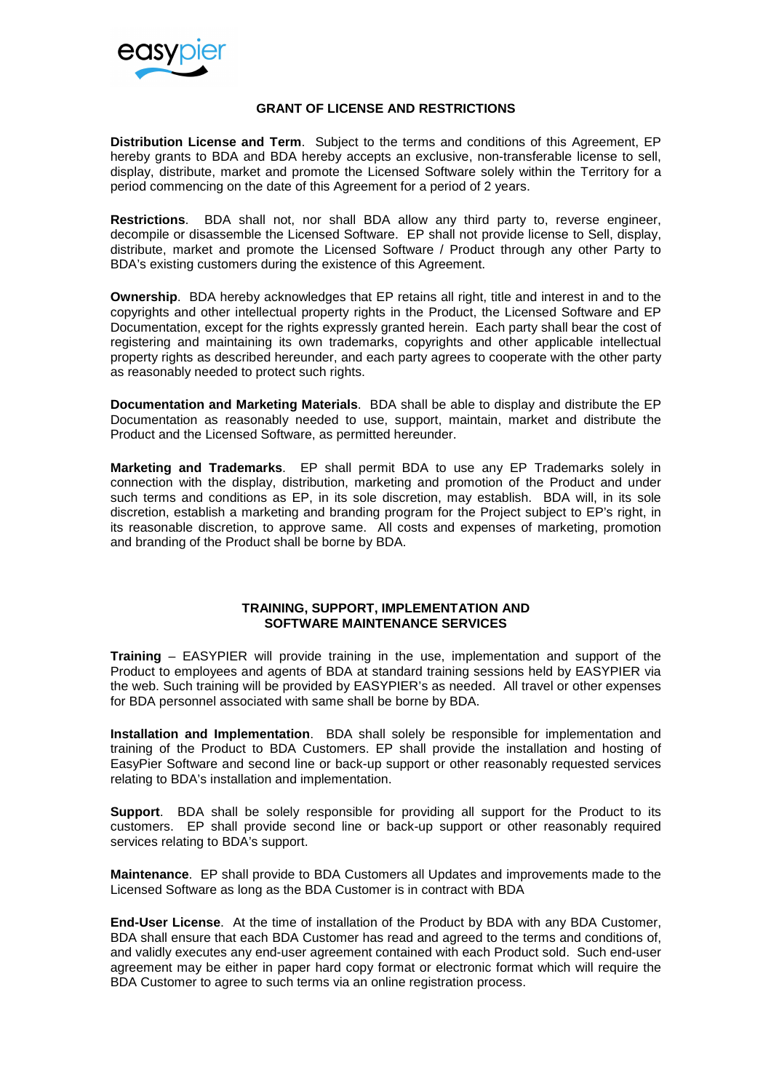

## **GRANT OF LICENSE AND RESTRICTIONS**

**Distribution License and Term**. Subject to the terms and conditions of this Agreement, EP hereby grants to BDA and BDA hereby accepts an exclusive, non-transferable license to sell, display, distribute, market and promote the Licensed Software solely within the Territory for a period commencing on the date of this Agreement for a period of 2 years.

**Restrictions**. BDA shall not, nor shall BDA allow any third party to, reverse engineer, decompile or disassemble the Licensed Software. EP shall not provide license to Sell, display, distribute, market and promote the Licensed Software / Product through any other Party to BDA's existing customers during the existence of this Agreement.

**Ownership**. BDA hereby acknowledges that EP retains all right, title and interest in and to the copyrights and other intellectual property rights in the Product, the Licensed Software and EP Documentation, except for the rights expressly granted herein. Each party shall bear the cost of registering and maintaining its own trademarks, copyrights and other applicable intellectual property rights as described hereunder, and each party agrees to cooperate with the other party as reasonably needed to protect such rights.

**Documentation and Marketing Materials**. BDA shall be able to display and distribute the EP Documentation as reasonably needed to use, support, maintain, market and distribute the Product and the Licensed Software, as permitted hereunder.

**Marketing and Trademarks**. EP shall permit BDA to use any EP Trademarks solely in connection with the display, distribution, marketing and promotion of the Product and under such terms and conditions as EP, in its sole discretion, may establish. BDA will, in its sole discretion, establish a marketing and branding program for the Project subject to EP's right, in its reasonable discretion, to approve same. All costs and expenses of marketing, promotion and branding of the Product shall be borne by BDA.

#### **TRAINING, SUPPORT, IMPLEMENTATION AND SOFTWARE MAINTENANCE SERVICES**

**Training** – EASYPIER will provide training in the use, implementation and support of the Product to employees and agents of BDA at standard training sessions held by EASYPIER via the web. Such training will be provided by EASYPIER's as needed. All travel or other expenses for BDA personnel associated with same shall be borne by BDA.

**Installation and Implementation**. BDA shall solely be responsible for implementation and training of the Product to BDA Customers. EP shall provide the installation and hosting of EasyPier Software and second line or back-up support or other reasonably requested services relating to BDA's installation and implementation.

**Support**. BDA shall be solely responsible for providing all support for the Product to its customers. EP shall provide second line or back-up support or other reasonably required services relating to BDA's support.

**Maintenance**. EP shall provide to BDA Customers all Updates and improvements made to the Licensed Software as long as the BDA Customer is in contract with BDA

**End-User License**. At the time of installation of the Product by BDA with any BDA Customer, BDA shall ensure that each BDA Customer has read and agreed to the terms and conditions of, and validly executes any end-user agreement contained with each Product sold. Such end-user agreement may be either in paper hard copy format or electronic format which will require the BDA Customer to agree to such terms via an online registration process.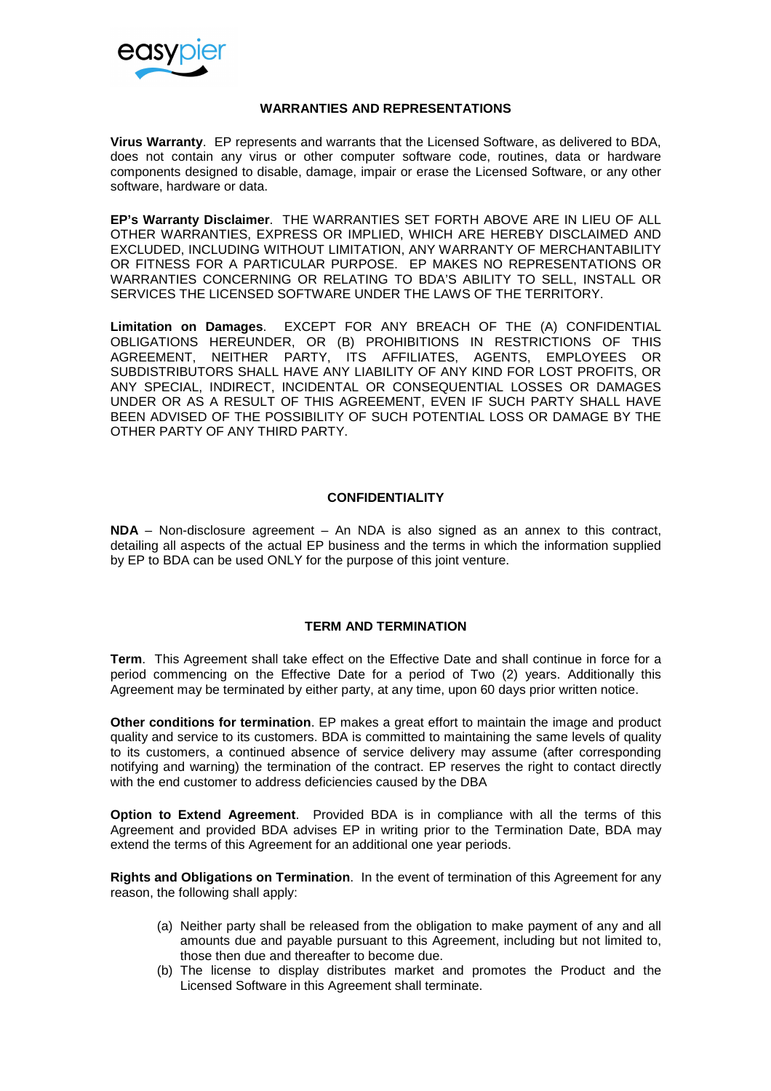

#### **WARRANTIES AND REPRESENTATIONS**

**Virus Warranty**. EP represents and warrants that the Licensed Software, as delivered to BDA, does not contain any virus or other computer software code, routines, data or hardware components designed to disable, damage, impair or erase the Licensed Software, or any other software, hardware or data.

**EP's Warranty Disclaimer**. THE WARRANTIES SET FORTH ABOVE ARE IN LIEU OF ALL OTHER WARRANTIES, EXPRESS OR IMPLIED, WHICH ARE HEREBY DISCLAIMED AND EXCLUDED, INCLUDING WITHOUT LIMITATION, ANY WARRANTY OF MERCHANTABILITY OR FITNESS FOR A PARTICULAR PURPOSE. EP MAKES NO REPRESENTATIONS OR WARRANTIES CONCERNING OR RELATING TO BDA'S ABILITY TO SELL, INSTALL OR SERVICES THE LICENSED SOFTWARE UNDER THE LAWS OF THE TERRITORY.

**Limitation on Damages**. EXCEPT FOR ANY BREACH OF THE (A) CONFIDENTIAL OBLIGATIONS HEREUNDER, OR (B) PROHIBITIONS IN RESTRICTIONS OF THIS AGREEMENT, NEITHER PARTY, ITS AFFILIATES, AGENTS, EMPLOYEES OR SUBDISTRIBUTORS SHALL HAVE ANY LIABILITY OF ANY KIND FOR LOST PROFITS, OR ANY SPECIAL, INDIRECT, INCIDENTAL OR CONSEQUENTIAL LOSSES OR DAMAGES UNDER OR AS A RESULT OF THIS AGREEMENT, EVEN IF SUCH PARTY SHALL HAVE BEEN ADVISED OF THE POSSIBILITY OF SUCH POTENTIAL LOSS OR DAMAGE BY THE OTHER PARTY OF ANY THIRD PARTY.

#### **CONFIDENTIALITY**

**NDA** – Non-disclosure agreement – An NDA is also signed as an annex to this contract, detailing all aspects of the actual EP business and the terms in which the information supplied by EP to BDA can be used ONLY for the purpose of this joint venture.

### **TERM AND TERMINATION**

**Term**. This Agreement shall take effect on the Effective Date and shall continue in force for a period commencing on the Effective Date for a period of Two (2) years. Additionally this Agreement may be terminated by either party, at any time, upon 60 days prior written notice.

**Other conditions for termination**. EP makes a great effort to maintain the image and product quality and service to its customers. BDA is committed to maintaining the same levels of quality to its customers, a continued absence of service delivery may assume (after corresponding notifying and warning) the termination of the contract. EP reserves the right to contact directly with the end customer to address deficiencies caused by the DBA

**Option to Extend Agreement**. Provided BDA is in compliance with all the terms of this Agreement and provided BDA advises EP in writing prior to the Termination Date, BDA may extend the terms of this Agreement for an additional one year periods.

**Rights and Obligations on Termination**. In the event of termination of this Agreement for any reason, the following shall apply:

- (a) Neither party shall be released from the obligation to make payment of any and all amounts due and payable pursuant to this Agreement, including but not limited to, those then due and thereafter to become due.
- (b) The license to display distributes market and promotes the Product and the Licensed Software in this Agreement shall terminate.